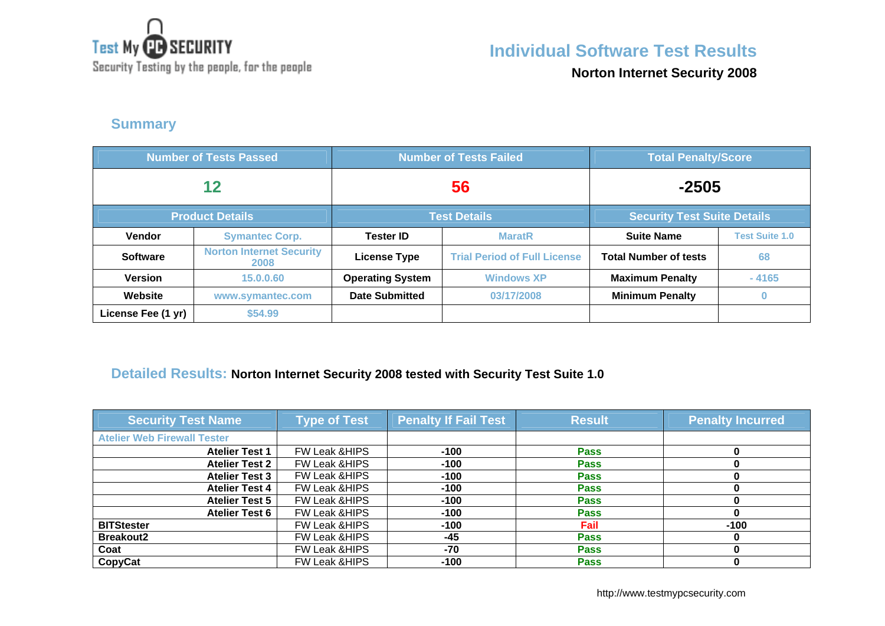

Security Testing by the people, for the people

## **Individual Software Test Results**

**Norton Internet Security 2008**

### **Summary**

| <b>Number of Tests Passed</b> |                                               | <b>Number of Tests Failed</b> |                                     | <b>Total Penalty/Score</b>         |                       |
|-------------------------------|-----------------------------------------------|-------------------------------|-------------------------------------|------------------------------------|-----------------------|
| 12                            |                                               | 56                            |                                     | $-2505$                            |                       |
|                               | <b>Product Details</b><br><b>Test Details</b> |                               |                                     | <b>Security Test Suite Details</b> |                       |
| <b>Vendor</b>                 | <b>Symantec Corp.</b>                         | <b>Tester ID</b>              | <b>MaratR</b>                       | <b>Suite Name</b>                  | <b>Test Suite 1.0</b> |
| <b>Software</b>               | <b>Norton Internet Security</b><br>2008       | <b>License Type</b>           | <b>Trial Period of Full License</b> | <b>Total Number of tests</b>       | 68                    |
| <b>Version</b>                | 15.0.0.60                                     | <b>Operating System</b>       | <b>Windows XP</b>                   | <b>Maximum Penalty</b>             | $-4165$               |
| Website                       | www.symantec.com                              | <b>Date Submitted</b>         | 03/17/2008                          | <b>Minimum Penalty</b>             | Ω                     |
| License Fee (1 yr)            | \$54.99                                       |                               |                                     |                                    |                       |

# **Detailed Results: Norton Internet Security 2008 tested with Security Test Suite 1.0**

| <b>Security Test Name</b>          | <b>Type of Test</b>      | <b>Penalty If Fail Test</b> | <b>Result</b> | <b>Penalty Incurred</b> |
|------------------------------------|--------------------------|-----------------------------|---------------|-------------------------|
| <b>Atelier Web Firewall Tester</b> |                          |                             |               |                         |
| <b>Atelier Test 1</b>              | <b>FW Leak &amp;HIPS</b> | $-100$                      | <b>Pass</b>   |                         |
| <b>Atelier Test 2</b>              | <b>FW Leak &amp;HIPS</b> | $-100$                      | <b>Pass</b>   |                         |
| <b>Atelier Test 3</b>              | <b>FW Leak &amp;HIPS</b> | $-100$                      | <b>Pass</b>   |                         |
| <b>Atelier Test 4</b>              | <b>FW Leak &amp;HIPS</b> | $-100$                      | <b>Pass</b>   |                         |
| <b>Atelier Test 5</b>              | <b>FW Leak &amp;HIPS</b> | $-100$                      | <b>Pass</b>   |                         |
| <b>Atelier Test 6</b>              | FW Leak & HIPS           | $-100$                      | <b>Pass</b>   |                         |
| <b>BITStester</b>                  | <b>FW Leak &amp;HIPS</b> | $-100$                      | Fail          | $-100$                  |
| <b>Breakout2</b>                   | <b>FW Leak &amp;HIPS</b> | -45                         | <b>Pass</b>   |                         |
| Coat                               | <b>FW Leak &amp;HIPS</b> | $-70$                       | <b>Pass</b>   |                         |
| CopyCat                            | <b>FW Leak &amp;HIPS</b> | $-100$                      | <b>Pass</b>   |                         |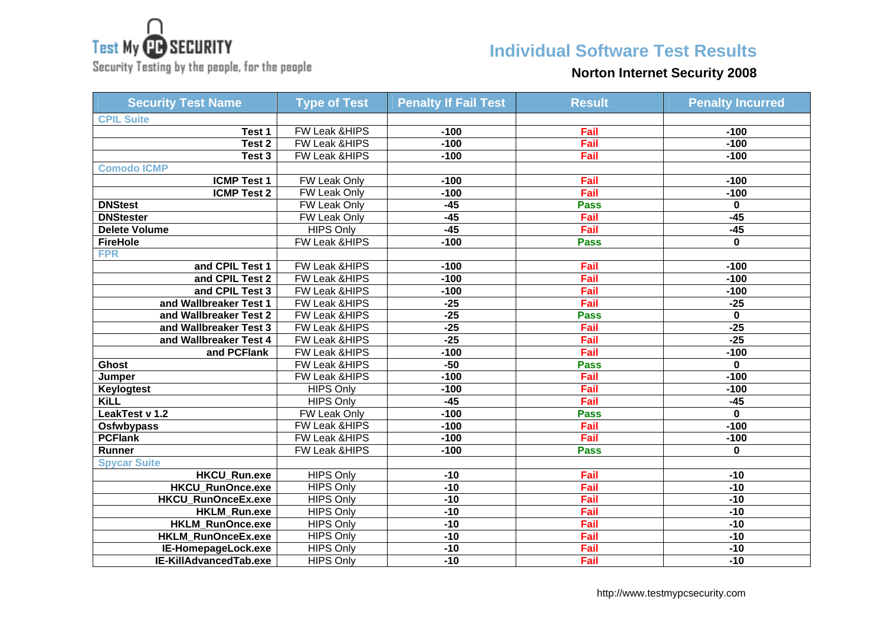

Security Testing by the people, for the people

### **Individual Software Test Results**

#### **Norton Internet Security 2008**

| <b>Security Test Name</b> | <b>Type of Test</b>      | <b>Penalty If Fail Test</b> | <b>Result</b> | <b>Penalty Incurred</b> |
|---------------------------|--------------------------|-----------------------------|---------------|-------------------------|
| <b>CPIL Suite</b>         |                          |                             |               |                         |
| Test 1                    | FW Leak & HIPS           | $-100$                      | Fail          | $-100$                  |
| Test 2                    | FW Leak &HIPS            | $-100$                      | Fail          | $-100$                  |
| Test 3                    | FW Leak &HIPS            | $-100$                      | Fail          | $-100$                  |
| <b>Comodo ICMP</b>        |                          |                             |               |                         |
| <b>ICMP Test 1</b>        | <b>FW Leak Only</b>      | $-100$                      | Fail          | $-100$                  |
| <b>ICMP Test 2</b>        | <b>FW Leak Only</b>      | $-100$                      | Fail          | $-100$                  |
| <b>DNStest</b>            | FW Leak Only             | $-45$                       | <b>Pass</b>   | 0                       |
| <b>DNStester</b>          | FW Leak Only             | $-45$                       | Fail          | $-45$                   |
| <b>Delete Volume</b>      | <b>HIPS Only</b>         | $-45$                       | Fail          | $-45$                   |
| <b>FireHole</b>           | FW Leak & HIPS           | $-100$                      | <b>Pass</b>   | $\mathbf{0}$            |
| <b>FPR</b>                |                          |                             |               |                         |
| and CPIL Test 1           | FW Leak & HIPS           | $-100$                      | Fail          | $-100$                  |
| and CPIL Test 2           | FW Leak & HIPS           | $-100$                      | Fail          | $-100$                  |
| and CPIL Test 3           | FW Leak &HIPS            | $-100$                      | Fail          | $-100$                  |
| and Wallbreaker Test 1    | <b>FW Leak &amp;HIPS</b> | $-25$                       | Fail          | $-25$                   |
| and Wallbreaker Test 2    | FW Leak &HIPS            | $-25$                       | <b>Pass</b>   | $\mathbf 0$             |
| and Wallbreaker Test 3    | FW Leak &HIPS            | $-25$                       | Fail          | $-25$                   |
| and Wallbreaker Test 4    | FW Leak &HIPS            | $-25$                       | Fail          | $-25$                   |
| and PCFlank               | FW Leak & HIPS           | $-100$                      | Fail          | $-100$                  |
| <b>Ghost</b>              | FW Leak &HIPS            | $-50$                       | <b>Pass</b>   | 0                       |
| Jumper                    | FW Leak & HIPS           | $-100$                      | Fail          | $-100$                  |
| <b>Keylogtest</b>         | <b>HIPS Only</b>         | $-100$                      | Fail          | $-100$                  |
| KiLL                      | <b>HIPS Only</b>         | $-45$                       | Fail          | $-45$                   |
| LeakTest v 1.2            | FW Leak Only             | $-100$                      | <b>Pass</b>   | 0                       |
| Osfwbypass                | FW Leak & HIPS           | $-100$                      | Fail          | $-100$                  |
| <b>PCFlank</b>            | FW Leak & HIPS           | $-100$                      | Fail          | $-100$                  |
| Runner                    | FW Leak & HIPS           | $-100$                      | <b>Pass</b>   | 0                       |
| <b>Spycar Suite</b>       |                          |                             |               |                         |
| <b>HKCU Run.exe</b>       | <b>HIPS Only</b>         | $-10$                       | Fail          | $-10$                   |
| <b>HKCU RunOnce.exe</b>   | <b>HIPS Only</b>         | $-10$                       | Fail          | $-10$                   |
| HKCU RunOnceEx.exe        | <b>HIPS Only</b>         | $-10$                       | Fail          | $-10$                   |
| HKLM_Run.exe              | <b>HIPS Only</b>         | $-10$                       | Fail          | $-10$                   |
| <b>HKLM RunOnce.exe</b>   | <b>HIPS Only</b>         | $-10$                       | Fail          | $-10$                   |
| HKLM_RunOnceEx.exe        | <b>HIPS Only</b>         | $-10$                       | Fail          | $-10$                   |
| IE-HomepageLock.exe       | <b>HIPS Only</b>         | $-10$                       | Fail          | $-10$                   |
| IE-KillAdvancedTab.exe    | <b>HIPS Only</b>         | $-10$                       | Fail          | $-10$                   |